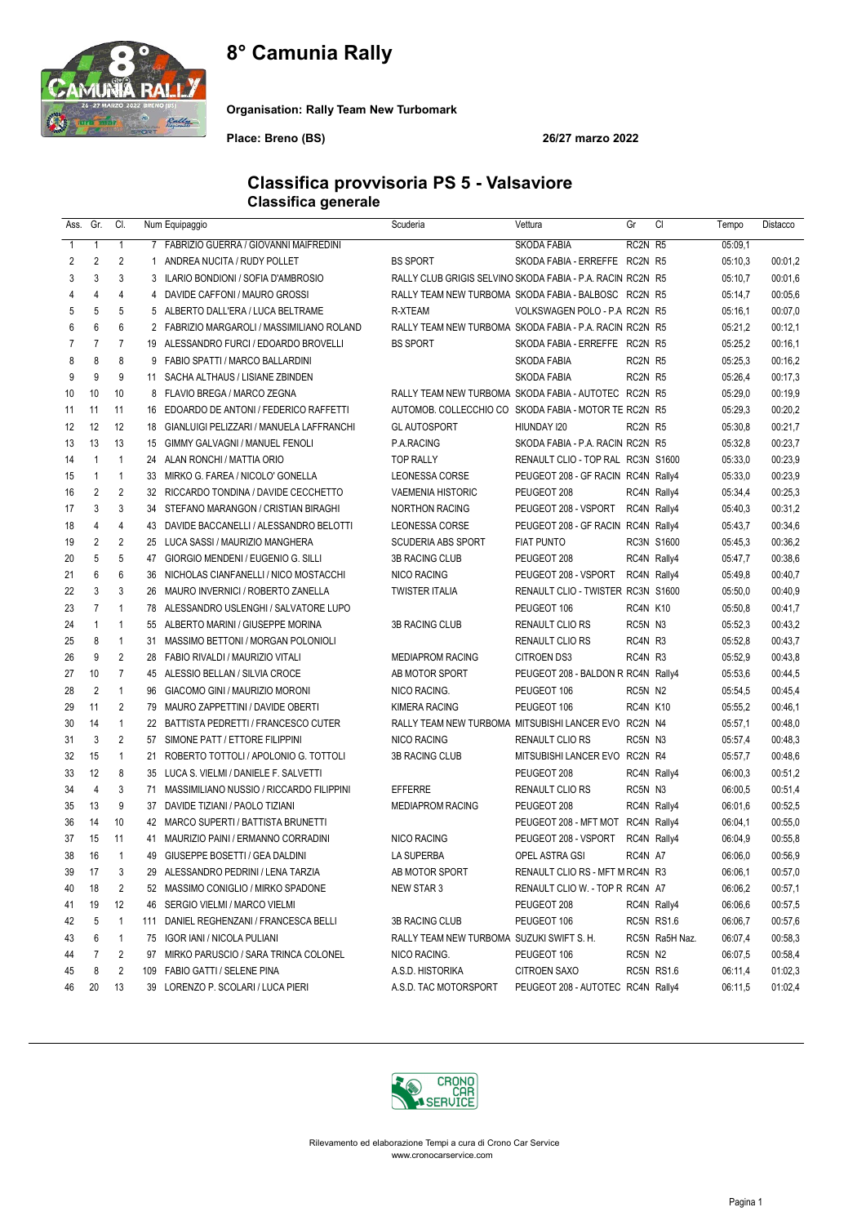# 8° Camunia Rally



Organisation: Rally Team New Turbomark

Place: Breno (BS) 26/27 marzo 2022

### Classifica provvisoria PS 5 - Valsaviore Classifica generale

| Ass.           | Gr.            | CI.            |              | Num Equipaggio                             | Scuderia                                                   | Vettura                            | Gr       | CI                | Tempo   | Distacco |
|----------------|----------------|----------------|--------------|--------------------------------------------|------------------------------------------------------------|------------------------------------|----------|-------------------|---------|----------|
| $\mathbf{1}$   | $\mathbf{1}$   | $\mathbf{1}$   |              | 7 FABRIZIO GUERRA / GIOVANNI MAIFREDINI    |                                                            | <b>SKODA FABIA</b>                 | RC2N R5  |                   | 05:09,1 |          |
| 2              | 2              | 2              | $\mathbf{1}$ | ANDREA NUCITA / RUDY POLLET                | <b>BS SPORT</b>                                            | SKODA FABIA - ERREFFE RC2N R5      |          |                   | 05:10,3 | 00:01.2  |
| 3              | 3              | 3              | 3            | ILARIO BONDIONI / SOFIA D'AMBROSIO         | RALLY CLUB GRIGIS SELVINO SKODA FABIA - P.A. RACIN RC2N R5 |                                    |          |                   | 05:10,7 | 00:01,6  |
| 4              | 4              | 4              |              | 4 DAVIDE CAFFONI / MAURO GROSSI            | RALLY TEAM NEW TURBOMA SKODA FABIA - BALBOSC RC2N R5       |                                    |          |                   | 05:14,7 | 00:05.6  |
| 5              | 5              | 5              |              | 5 ALBERTO DALL'ERA / LUCA BELTRAME         | R-XTEAM                                                    | VOLKSWAGEN POLO - P.A RC2N R5      |          |                   | 05:16,1 | 00:07.0  |
| 6              | 6              | 6              |              | 2 FABRIZIO MARGAROLI / MASSIMILIANO ROLAND | RALLY TEAM NEW TURBOMA SKODA FABIA - P.A. RACIN RC2N R5    |                                    |          |                   | 05:21,2 | 00:12,1  |
| $\overline{7}$ | $\overline{7}$ | $\overline{7}$ |              | 19 ALESSANDRO FURCI / EDOARDO BROVELLI     | <b>BS SPORT</b>                                            | SKODA FABIA - ERREFFE RC2N R5      |          |                   | 05:25,2 | 00:16,1  |
| 8              | 8              | 8              |              | 9 FABIO SPATTI / MARCO BALLARDINI          |                                                            | <b>SKODA FABIA</b>                 | RC2N R5  |                   | 05:25,3 | 00:16.2  |
| 9              | 9              | 9              |              | 11 SACHA ALTHAUS / LISIANE ZBINDEN         |                                                            | <b>SKODA FABIA</b>                 | RC2N R5  |                   | 05:26,4 | 00:17,3  |
| 10             | 10             | 10             |              | 8 FLAVIO BREGA / MARCO ZEGNA               | RALLY TEAM NEW TURBOMA SKODA FABIA - AUTOTEC RC2N R5       |                                    |          |                   | 05:29,0 | 00:19,9  |
| 11             | 11             | 11             | 16           | EDOARDO DE ANTONI / FEDERICO RAFFETTI      | AUTOMOB. COLLECCHIO CO SKODA FABIA - MOTOR TE RC2N R5      |                                    |          |                   | 05:29,3 | 00:20,2  |
| 12             | 12             | 12             | 18           | GIANLUIGI PELIZZARI / MANUELA LAFFRANCHI   | <b>GL AUTOSPORT</b>                                        | HIUNDAY 120                        | RC2N R5  |                   | 05:30,8 | 00:21,7  |
| 13             | 13             | 13             | 15           | GIMMY GALVAGNI / MANUEL FENOLI             | P.A.RACING                                                 | SKODA FABIA - P.A. RACIN RC2N R5   |          |                   | 05:32,8 | 00:23,7  |
| 14             | $\mathbf{1}$   | $\mathbf{1}$   | 24           | ALAN RONCHI / MATTIA ORIO                  | <b>TOP RALLY</b>                                           | RENAULT CLIO - TOP RAL RC3N S1600  |          |                   | 05:33,0 | 00:23,9  |
| 15             | $\mathbf{1}$   | $\mathbf{1}$   |              | 33 MIRKO G. FAREA / NICOLO' GONELLA        | <b>LEONESSA CORSE</b>                                      | PEUGEOT 208 - GF RACIN RC4N Rally4 |          |                   | 05:33,0 | 00:23,9  |
| 16             | $\overline{2}$ | $\overline{2}$ |              | 32 RICCARDO TONDINA / DAVIDE CECCHETTO     | <b>VAEMENIA HISTORIC</b>                                   | PEUGEOT 208                        |          | RC4N Rally4       | 05:34,4 | 00:25,3  |
| 17             | 3              | 3              | 34           | STEFANO MARANGON / CRISTIAN BIRAGHI        | <b>NORTHON RACING</b>                                      | PEUGEOT 208 - VSPORT               |          | RC4N Rally4       | 05:40,3 | 00:31,2  |
| 18             | 4              | 4              |              | 43 DAVIDE BACCANELLI / ALESSANDRO BELOTTI  | LEONESSA CORSE                                             | PEUGEOT 208 - GF RACIN RC4N Rally4 |          |                   | 05:43,7 | 00:34,6  |
| 19             | $\overline{2}$ | 2              |              | 25 LUCA SASSI / MAURIZIO MANGHERA          | <b>SCUDERIA ABS SPORT</b>                                  | <b>FIAT PUNTO</b>                  |          | <b>RC3N S1600</b> | 05:45.3 | 00:36,2  |
| 20             | 5              | 5              | 47           | GIORGIO MENDENI / EUGENIO G. SILLI         | <b>3B RACING CLUB</b>                                      | PEUGEOT 208                        |          | RC4N Rally4       | 05:47,7 | 00:38,6  |
| 21             | 6              | 6              | 36           | NICHOLAS CIANFANELLI / NICO MOSTACCHI      | <b>NICO RACING</b>                                         | PEUGEOT 208 - VSPORT               |          | RC4N Rally4       | 05:49,8 | 00:40,7  |
| 22             | 3              | 3              | 26           | MAURO INVERNICI / ROBERTO ZANELLA          | <b>TWISTER ITALIA</b>                                      | RENAULT CLIO - TWISTER RC3N S1600  |          |                   | 05:50,0 | 00:40,9  |
| 23             | $\overline{7}$ | $\mathbf{1}$   |              | 78 ALESSANDRO USLENGHI / SALVATORE LUPO    |                                                            | PEUGEOT 106                        | RC4N K10 |                   | 05:50,8 | 00:41,7  |
| 24             | $\mathbf{1}$   | $\mathbf{1}$   | 55           | ALBERTO MARINI / GIUSEPPE MORINA           | <b>3B RACING CLUB</b>                                      | RENAULT CLIO RS                    | RC5N N3  |                   | 05:52,3 | 00:43,2  |
| 25             | 8              | $\mathbf{1}$   |              | 31 MASSIMO BETTONI / MORGAN POLONIOLI      |                                                            | <b>RENAULT CLIO RS</b>             | RC4N R3  |                   | 05:52,8 | 00:43,7  |
| 26             | 9              | $\overline{2}$ |              | 28 FABIO RIVALDI / MAURIZIO VITALI         | <b>MEDIAPROM RACING</b>                                    | <b>CITROEN DS3</b>                 | RC4N R3  |                   | 05:52,9 | 00:43,8  |
| 27             | 10             | $\overline{7}$ |              | 45 ALESSIO BELLAN / SILVIA CROCE           | AB MOTOR SPORT                                             | PEUGEOT 208 - BALDON R RC4N Rally4 |          |                   | 05:53,6 | 00:44,5  |
| 28             | $\overline{2}$ | $\mathbf{1}$   | 96           | GIACOMO GINI / MAURIZIO MORONI             | NICO RACING.                                               | PEUGEOT 106                        | RC5N N2  |                   | 05:54,5 | 00:45,4  |
| 29             | 11             | 2              |              | 79 MAURO ZAPPETTINI / DAVIDE OBERTI        | <b>KIMERA RACING</b>                                       | PEUGEOT 106                        | RC4N K10 |                   | 05:55,2 | 00:46,1  |
| 30             | 14             | $\mathbf{1}$   |              | 22 BATTISTA PEDRETTI / FRANCESCO CUTER     | RALLY TEAM NEW TURBOMA MITSUBISHI LANCER EVO RC2N N4       |                                    |          |                   | 05:57,1 | 00:48,0  |
| 31             | 3              | $\overline{2}$ | 57           | SIMONE PATT / ETTORE FILIPPINI             | <b>NICO RACING</b>                                         | <b>RENAULT CLIO RS</b>             | RC5N N3  |                   | 05:57,4 | 00:48,3  |
| 32             | 15             | $\mathbf{1}$   | 21           | ROBERTO TOTTOLI / APOLONIO G. TOTTOLI      | <b>3B RACING CLUB</b>                                      | MITSUBISHI LANCER EVO RC2N R4      |          |                   | 05:57,7 | 00:48,6  |
| 33             | 12             | 8              |              | 35 LUCA S. VIELMI / DANIELE F. SALVETTI    |                                                            | PEUGEOT 208                        |          | RC4N Rally4       | 06:00,3 | 00:51,2  |
| 34             | $\overline{4}$ | 3              | 71           | MASSIMILIANO NUSSIO / RICCARDO FILIPPINI   | <b>EFFERRE</b>                                             | RENAULT CLIO RS                    | RC5N N3  |                   | 06:00.5 | 00:51,4  |
| 35             | 13             | 9              | 37           | DAVIDE TIZIANI / PAOLO TIZIANI             | <b>MEDIAPROM RACING</b>                                    | PEUGEOT 208                        |          | RC4N Rally4       | 06:01.6 | 00:52,5  |
| 36             | 14             | 10             |              | 42 MARCO SUPERTI / BATTISTA BRUNETTI       |                                                            | PEUGEOT 208 - MFT MOT RC4N Rally4  |          |                   | 06:04,1 | 00:55,0  |
| 37             | 15             | 11             | 41           | MAURIZIO PAINI / ERMANNO CORRADINI         | NICO RACING                                                | PEUGEOT 208 - VSPORT               |          | RC4N Rally4       | 06:04,9 | 00:55,8  |
| 38             | 16             | $\overline{1}$ |              | 49 GIUSEPPE BOSETTI / GEA DALDINI          | <b>LA SUPERBA</b>                                          | OPEL ASTRA GSI                     | RC4N A7  |                   | 06:06.0 | 00:56,9  |
| 39             | 17             | 3              |              | 29 ALESSANDRO PEDRINI / LENA TARZIA        | AB MOTOR SPORT                                             | RENAULT CLIO RS - MFT M RC4N R3    |          |                   | 06:06,1 | 00:57,0  |
| 40             | 18             | 2              |              | 52 MASSIMO CONIGLIO / MIRKO SPADONE        | NEW STAR 3                                                 | RENAULT CLIO W. - TOP R RC4N A7    |          |                   | 06:06,2 | 00:57,1  |
| 41             | 19             | 12             |              | 46 SERGIO VIELMI / MARCO VIELMI            |                                                            | PEUGEOT 208                        |          | RC4N Rally4       | 06:06,6 | 00:57,5  |
| 42             | 5              | $\mathbf{1}$   | 111          | DANIEL REGHENZANI / FRANCESCA BELLI        | 3B RACING CLUB                                             | PEUGEOT 106                        |          | RC5N RS1.6        | 06:06,7 | 00:57,6  |
| 43             | 6              | 1              |              | 75 IGOR IANI / NICOLA PULIANI              | RALLY TEAM NEW TURBOMA SUZUKI SWIFT S. H.                  |                                    |          | RC5N Ra5H Naz.    | 06:07,4 | 00:58,3  |
| 44             | 7              | 2              |              | 97 MIRKO PARUSCIO / SARA TRINCA COLONEL    | NICO RACING.                                               | PEUGEOT 106                        | RC5N N2  |                   | 06:07,5 | 00:58,4  |
| 45             | 8              | 2              |              | 109 FABIO GATTI / SELENE PINA              | A.S.D. HISTORIKA                                           | <b>CITROEN SAXO</b>                |          | RC5N RS1.6        | 06:11,4 | 01:02,3  |
| 46             | 20             | 13             |              | 39 LORENZO P. SCOLARI / LUCA PIERI         | A.S.D. TAC MOTORSPORT                                      | PEUGEOT 208 - AUTOTEC RC4N Rally4  |          |                   | 06:11,5 | 01:02,4  |